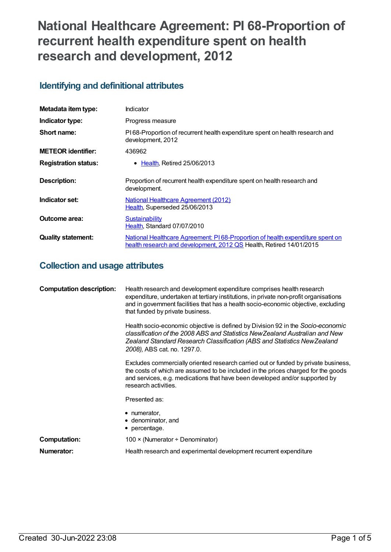# **National Healthcare Agreement: PI 68-Proportion of recurrent health expenditure spent on health research and development, 2012**

## **Identifying and definitional attributes**

| Metadata item type:         | Indicator                                                                                                                                            |
|-----------------------------|------------------------------------------------------------------------------------------------------------------------------------------------------|
| Indicator type:             | Progress measure                                                                                                                                     |
| Short name:                 | PI68-Proportion of recurrent health expenditure spent on health research and<br>development, 2012                                                    |
| <b>METEOR identifier:</b>   | 436962                                                                                                                                               |
| <b>Registration status:</b> | • Health, Retired 25/06/2013                                                                                                                         |
| Description:                | Proportion of recurrent health expenditure spent on health research and<br>development.                                                              |
| Indicator set:              | <b>National Healthcare Agreement (2012)</b><br>Health, Superseded 25/06/2013                                                                         |
| Outcome area:               | Sustainability<br>Health, Standard 07/07/2010                                                                                                        |
| <b>Quality statement:</b>   | National Healthcare Agreement: PI68-Proportion of health expenditure spent on<br>health research and development, 2012 QS Health, Retired 14/01/2015 |

## **Collection and usage attributes**

| <b>Computation description:</b> | Health research and development expenditure comprises health research<br>expenditure, undertaken at tertiary institutions, in private non-profit organisations<br>and in government facilities that has a health socio-economic objective, excluding<br>that funded by private business. |
|---------------------------------|------------------------------------------------------------------------------------------------------------------------------------------------------------------------------------------------------------------------------------------------------------------------------------------|
|                                 | Health socio-economic objective is defined by Division 92 in the Socio-economic<br>classification of the 2008 ABS and Statistics New Zealand Australian and New<br>Zealand Standard Research Classification (ABS and Statistics New Zealand<br>2008), ABS cat. no. 1297.0.               |
|                                 | Excludes commercially oriented research carried out or funded by private business,<br>the costs of which are assumed to be included in the prices charged for the goods<br>and services, e.g. medications that have been developed and/or supported by<br>research activities.           |
|                                 | Presented as:                                                                                                                                                                                                                                                                            |
|                                 | • numerator,<br>• denominator, and<br>• percentage.                                                                                                                                                                                                                                      |
| Computation:                    | 100 $\times$ (Numerator ÷ Denominator)                                                                                                                                                                                                                                                   |
| Numerator:                      | Health research and experimental development recurrent expenditure                                                                                                                                                                                                                       |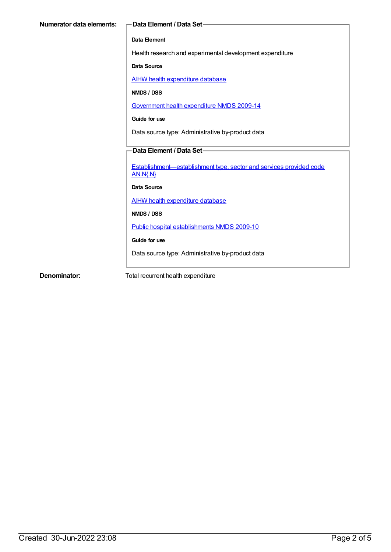#### **Data Element**

Health research and experimental development expenditure

**Data Source**

AIHW health [expenditure](https://meteor.aihw.gov.au/content/395380) database

**NMDS / DSS**

[Government](https://meteor.aihw.gov.au/content/376403) health expenditure NMDS 2009-14

**Guide for use**

Data source type: Administrative by-product data

### **Data Element / Data Set**

[Establishment—establishment](https://meteor.aihw.gov.au/content/269971) type, sector and services provided code AN.N{.N}

**Data Source**

AIHW health [expenditure](https://meteor.aihw.gov.au/content/395380) database

**NMDS / DSS**

Public hospital [establishments](https://meteor.aihw.gov.au/content/374924) NMDS 2009-10

**Guide for use**

Data source type: Administrative by-product data

**Denominator:** Total recurrent health expenditure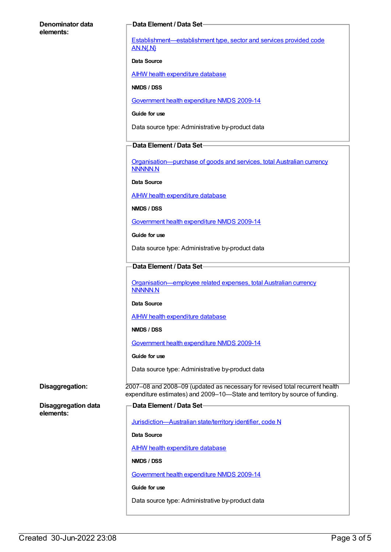#### **Denominator data elements:**

#### **Data Element / Data Set**

[Establishment—establishment](https://meteor.aihw.gov.au/content/269971) type, sector and services provided code AN.N{.N}

#### **Data Source**

AIHW health [expenditure](https://meteor.aihw.gov.au/content/395380) database

#### **NMDS / DSS**

[Government](https://meteor.aihw.gov.au/content/376403) health expenditure NMDS 2009-14

**Guide for use**

Data source type: Administrative by-product data

#### **Data Element / Data Set**

[Organisation—purchase](https://meteor.aihw.gov.au/content/359935) of goods and services, total Australian currency NNNNN.N

**Data Source**

AIHW health [expenditure](https://meteor.aihw.gov.au/content/395380) database

**NMDS / DSS**

[Government](https://meteor.aihw.gov.au/content/376403) health expenditure NMDS 2009-14

**Guide for use**

Data source type: Administrative by-product data

#### **Data Element / Data Set**

[Organisation—employee](https://meteor.aihw.gov.au/content/359947) related expenses, total Australian currency NNNNN.N

#### **Data Source**

AIHW health [expenditure](https://meteor.aihw.gov.au/content/395380) database

**NMDS / DSS**

[Government](https://meteor.aihw.gov.au/content/376403) health expenditure NMDS 2009-14

**Guide for use**

Data source type: Administrative by-product data

**Disaggregation:** 2007–08 and 2008–09 (updated as necessary for revised total recurrent health expenditure estimates) and 2009–10—State and territory by source of funding.

**Disaggregation data elements:**

| — Data Element / Data Set————————————————                         |
|-------------------------------------------------------------------|
|                                                                   |
| <u>Jurisdiction-Australian state/territory identifier, code N</u> |
| Data Source                                                       |
| AIHW health expenditure database                                  |
| NMDS / DSS                                                        |
| Government health expenditure NMDS 2009-14                        |
| Guide for use                                                     |

Data source type: Administrative by-product data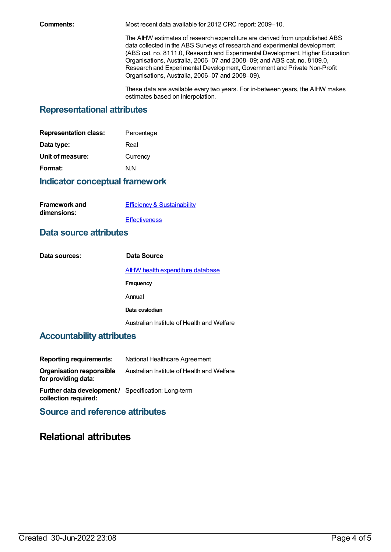**Comments:** Most recent data available for 2012 CRC report: 2009–10.

The AIHW estimates of research expenditure are derived from unpublished ABS data collected in the ABS Surveys of research and experimental development (ABS cat. no. 8111.0, Research and Experimental Development, Higher Education Organisations, Australia, 2006–07 and 2008–09; and ABS cat. no. 8109.0, Research and Experimental Development, Government and Private Non-Profit Organisations, Australia, 2006–07 and 2008–09).

These data are available every two years. For in-between years, the AIHW makes estimates based on interpolation.

## **Representational attributes**

| <b>Representation class:</b> | Percentage |
|------------------------------|------------|
| Data type:                   | Real       |
| Unit of measure:             | Currency   |
| Format:                      | N N        |
|                              |            |

## **Indicator conceptual framework**

| <b>Framework and</b> | <b>Efficiency &amp; Sustainability</b> |
|----------------------|----------------------------------------|
| dimensions:          |                                        |
|                      | Effectiveness                          |

## **Data source attributes**

| Data sources: | Data Source                                |
|---------------|--------------------------------------------|
|               | <b>AIHW health expenditure database</b>    |
|               | Frequency                                  |
|               | Annual                                     |
|               | Data custodian                             |
|               | Australian Institute of Health and Welfare |

## **Accountability attributes**

| <b>Reporting requirements:</b>                             | National Healthcare Agreement              |
|------------------------------------------------------------|--------------------------------------------|
| <b>Organisation responsible</b><br>for providing data:     | Australian Institute of Health and Welfare |
| <b>Further data development / Specification: Long-term</b> |                                            |

**collection required:**

**Source and reference attributes**

## **Relational attributes**